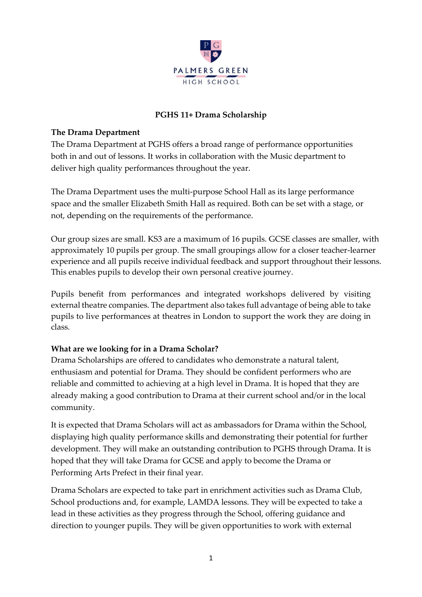

### **PGHS 11+ Drama Scholarship**

### **The Drama Department**

The Drama Department at PGHS offers a broad range of performance opportunities both in and out of lessons. It works in collaboration with the Music department to deliver high quality performances throughout the year.

The Drama Department uses the multi-purpose School Hall as its large performance space and the smaller Elizabeth Smith Hall as required. Both can be set with a stage, or not, depending on the requirements of the performance.

Our group sizes are small. KS3 are a maximum of 16 pupils. GCSE classes are smaller, with approximately 10 pupils per group. The small groupings allow for a closer teacher-learner experience and all pupils receive individual feedback and support throughout their lessons. This enables pupils to develop their own personal creative journey.

Pupils benefit from performances and integrated workshops delivered by visiting external theatre companies. The department also takes full advantage of being able to take pupils to live performances at theatres in London to support the work they are doing in class.

#### **What are we looking for in a Drama Scholar?**

Drama Scholarships are offered to candidates who demonstrate a natural talent, enthusiasm and potential for Drama. They should be confident performers who are reliable and committed to achieving at a high level in Drama. It is hoped that they are already making a good contribution to Drama at their current school and/or in the local community.

It is expected that Drama Scholars will act as ambassadors for Drama within the School, displaying high quality performance skills and demonstrating their potential for further development. They will make an outstanding contribution to PGHS through Drama. It is hoped that they will take Drama for GCSE and apply to become the Drama or Performing Arts Prefect in their final year.

Drama Scholars are expected to take part in enrichment activities such as Drama Club, School productions and, for example, LAMDA lessons. They will be expected to take a lead in these activities as they progress through the School, offering guidance and direction to younger pupils. They will be given opportunities to work with external